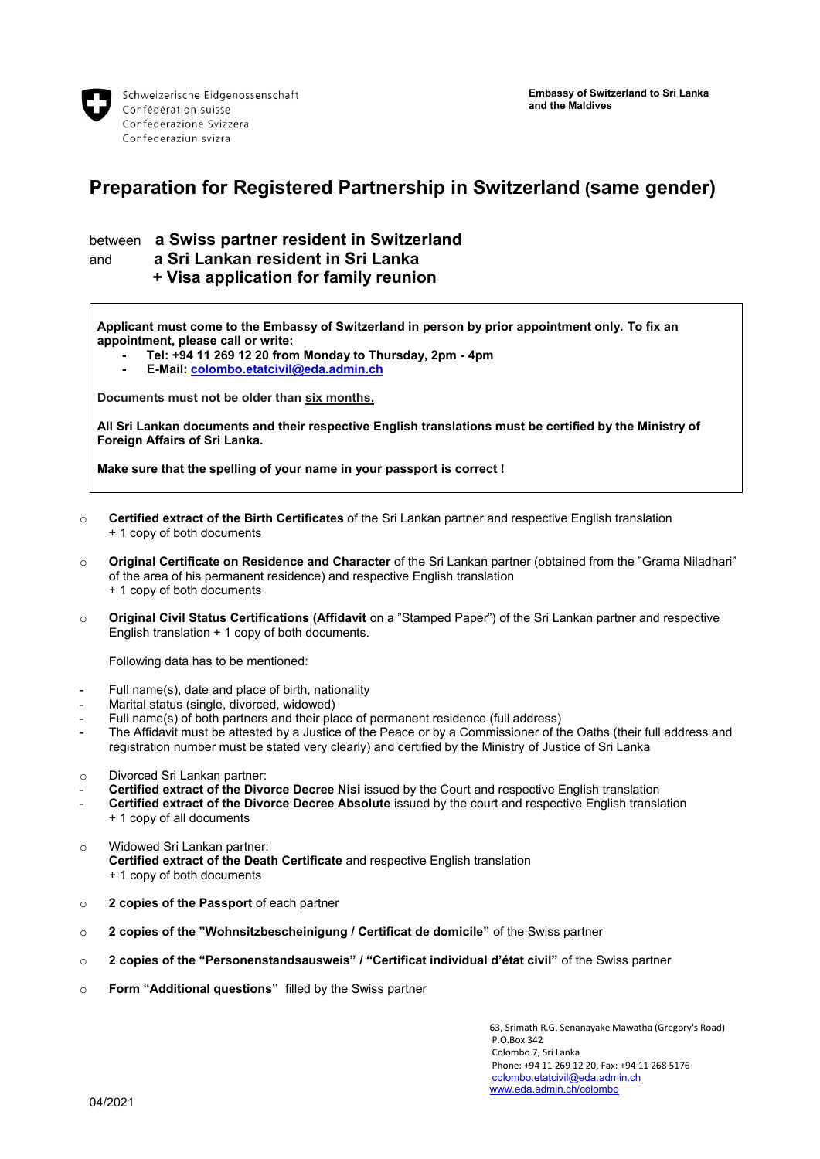

## **Preparation for Registered Partnership in Switzerland (same gender)**

## between **a Swiss partner resident in Switzerland** and **a Sri Lankan resident in Sri Lanka + Visa application for family reunion**

**Applicant must come to the Embassy of Switzerland in person by prior appointment only. To fix an appointment, please call or write:**

- **- Tel: +94 11 269 12 20 from Monday to Thursday, 2pm - 4pm**
- **- E-Mail[: colombo.etatcivil@eda.admin.ch](mailto:colombo.etatcivil@eda.admin.ch)**

**Documents must not be older than six months.**

**All Sri Lankan documents and their respective English translations must be certified by the Ministry of Foreign Affairs of Sri Lanka.**

**Make sure that the spelling of your name in your passport is correct !**

- o **Certified extract of the Birth Certificates** of the Sri Lankan partner and respective English translation + 1 copy of both documents
- o **Original Certificate on Residence and Character** of the Sri Lankan partner (obtained from the "Grama Niladhari" of the area of his permanent residence) and respective English translation + 1 copy of both documents
- o **Original Civil Status Certifications (Affidavit** on a "Stamped Paper") of the Sri Lankan partner and respective English translation + 1 copy of both documents.

Following data has to be mentioned:

- Full name(s), date and place of birth, nationality
- Marital status (single, divorced, widowed)
- Full name(s) of both partners and their place of permanent residence (full address)
- The Affidavit must be attested by a Justice of the Peace or by a Commissioner of the Oaths (their full address and registration number must be stated very clearly) and certified by the Ministry of Justice of Sri Lanka
- o Divorced Sri Lankan partner:
- **Certified extract of the Divorce Decree Nisi** issued by the Court and respective English translation
- **Certified extract of the Divorce Decree Absolute** issued by the court and respective English translation + 1 copy of all documents
- o Widowed Sri Lankan partner: **Certified extract of the Death Certificate** and respective English translation + 1 copy of both documents
- o **2 copies of the Passport** of each partner
- o **2 copies of the "Wohnsitzbescheinigung / Certificat de domicile"** of the Swiss partner
- o **2 copies of the "Personenstandsausweis" / "Certificat individual d'état civil"** of the Swiss partner
- o **Form "Additional questions"** filled by the Swiss partner

63, Srimath R.G. Senanayake Mawatha (Gregory's Road) P.O.Box 342 Colombo 7, Sri Lanka Phone: +94 11 269 12 20, Fax: +94 11 268 5176 [colombo.etatcivil@eda.admin.ch](mailto:colombo.etatcivil@eda.admin.ch) [www.eda.admin.ch/colombo](http://www.eda.admin.ch/colombo)